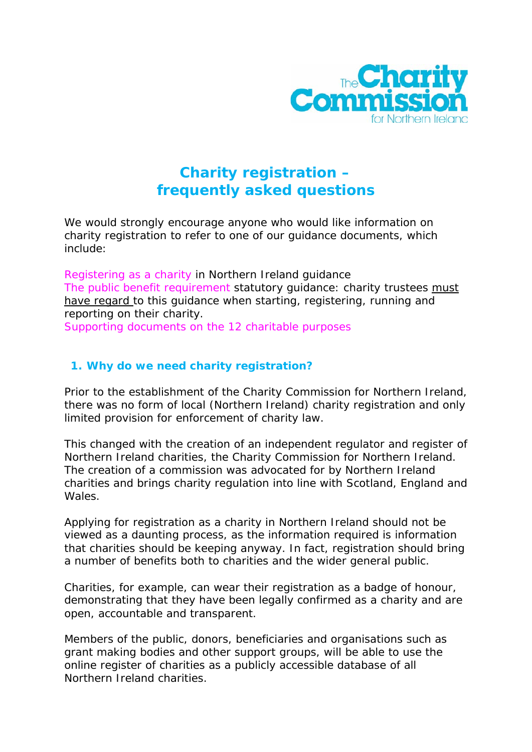

# **Charity registration – frequently asked questions**

We would strongly encourage anyone who would like information on charity registration to refer to one of our guidance documents, which include:

*[Registering as a charity](http://www.charitycommissionni.org.uk/Charity_requirements_guidance/Public_benefit_requirement.aspx) in Northern Ireland* guidance *[The public benefit requirement](http://www.charitycommissionni.org.uk/Charity_requirements_guidance/Public_benefit_requirement.aspx)* statutory guidance: charity trustees must have regard to this guidance when starting, registering, running and reporting on their charity.

[Supporting documents on the 12 charitable purposes](http://www.charitycommissionni.org.uk/Charity_requirements_guidance/Public_benefit_requirement.aspx)

## **1. Why do we need charity registration?**

Prior to the establishment of the Charity Commission for Northern Ireland, there was no form of local (Northern Ireland) charity registration and only limited provision for enforcement of charity law.

This changed with the creation of an independent regulator and register of Northern Ireland charities, the Charity Commission for Northern Ireland. The creation of a commission was advocated for by Northern Ireland charities and brings charity regulation into line with Scotland, England and Wales.

Applying for registration as a charity in Northern Ireland should not be viewed as a daunting process, as the information required is information that charities should be keeping anyway. In fact, registration should bring a number of benefits both to charities and the wider general public.

Charities, for example, can wear their registration as a badge of honour, demonstrating that they have been legally confirmed as a charity and are open, accountable and transparent.

Members of the public, donors, beneficiaries and organisations such as grant making bodies and other support groups, will be able to use the online register of charities as a publicly accessible database of all Northern Ireland charities.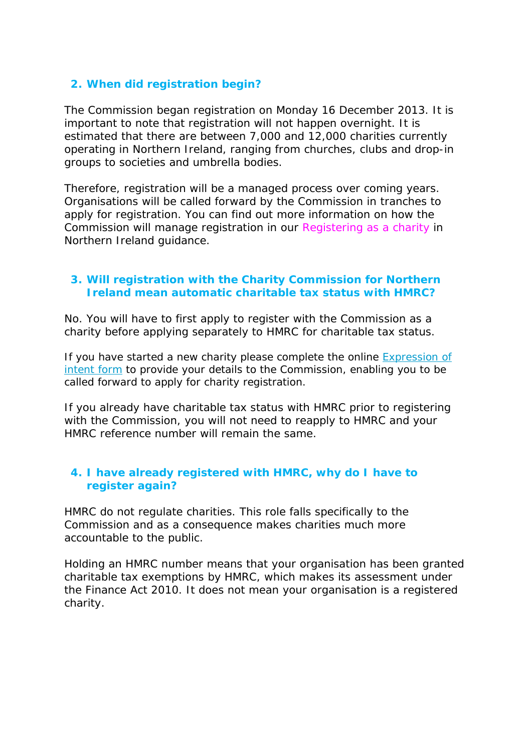## **2. When did registration begin?**

The Commission began registration on Monday 16 December 2013. It is important to note that registration will not happen overnight. It is estimated that there are between 7,000 and 12,000 charities currently operating in Northern Ireland, ranging from churches, clubs and drop-in groups to societies and umbrella bodies.

Therefore, registration will be a managed process over coming years. Organisations will be called forward by the Commission in tranches to apply for registration. You can find out more information on how the Commission will manage registration in our *[Registering as a charity](http://www.charitycommissionni.org.uk/Charity_requirements_guidance/Public_benefit_requirement.aspx) in Northern Ireland* guidance.

## **3. Will registration with the Charity Commission for Northern Ireland mean automatic charitable tax status with HMRC?**

No. You will have to first apply to register with the Commission as a charity before applying separately to HMRC for charitable tax status.

If you have started a new charity please complete the online [Expression of](https://www.surveymonkey.com/s/V7LLKJP)  [intent form](https://www.surveymonkey.com/s/V7LLKJP) to provide your details to the Commission, enabling you to be called forward to apply for charity registration.

If you already have charitable tax status with HMRC prior to registering with the Commission, you will not need to reapply to HMRC and your HMRC reference number will remain the same.

## **4. I have already registered with HMRC, why do I have to register again?**

HMRC do not regulate charities. This role falls specifically to the Commission and as a consequence makes charities much more accountable to the public.

Holding an HMRC number means that your organisation has been granted charitable tax exemptions by HMRC, which makes its assessment under the Finance Act 2010. It does not mean your organisation is a registered charity.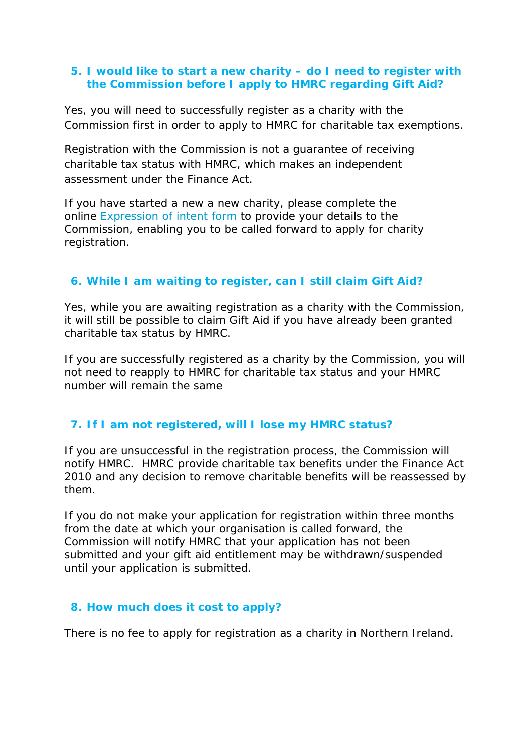#### **5. I would like to start a new charity – do I need to register with the Commission before I apply to HMRC regarding Gift Aid?**

Yes, you will need to successfully register as a charity with the Commission first in order to apply to HMRC for charitable tax exemptions.

Registration with the Commission is not a guarantee of receiving charitable tax status with HMRC, which makes an independent assessment under the Finance Act.

If you have started a new a new charity, please complete the online [Expression of intent form](https://www.surveymonkey.com/s/V7LLKJP) to provide your details to the Commission, enabling you to be called forward to apply for charity registration.

## **6. While I am waiting to register, can I still claim Gift Aid?**

Yes, while you are awaiting registration as a charity with the Commission, it will still be possible to claim Gift Aid if you have already been granted charitable tax status by HMRC.

If you are successfully registered as a charity by the Commission, you will not need to reapply to HMRC for charitable tax status and your HMRC number will remain the same

# **7. If I am not registered, will I lose my HMRC status?**

If you are unsuccessful in the registration process, the Commission will notify HMRC. HMRC provide charitable tax benefits under the Finance Act 2010 and any decision to remove charitable benefits will be reassessed by them.

If you do not make your application for registration within three months from the date at which your organisation is called forward, the Commission will notify HMRC that your application has not been submitted and your gift aid entitlement may be withdrawn/suspended until your application is submitted.

## **8. How much does it cost to apply?**

There is no fee to apply for registration as a charity in Northern Ireland.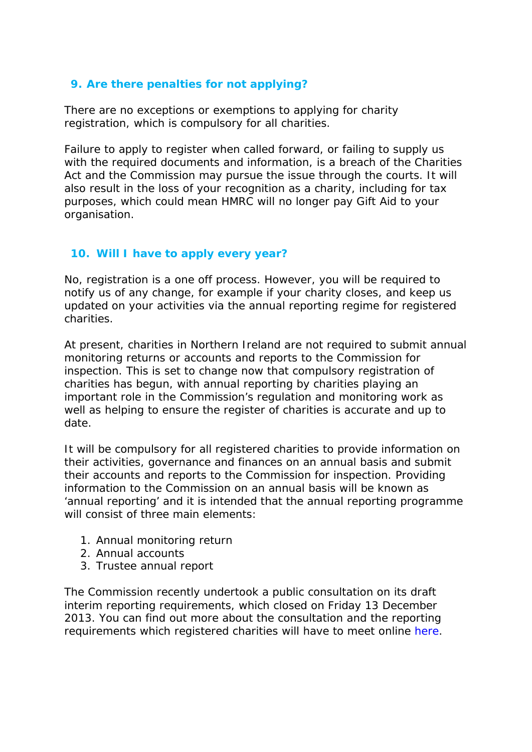## **9. Are there penalties for not applying?**

There are no exceptions or exemptions to applying for charity registration, which is compulsory for all charities.

Failure to apply to register when called forward, or failing to supply us with the required documents and information, is a breach of the Charities Act and the Commission may pursue the issue through the courts. It will also result in the loss of your recognition as a charity, including for tax purposes, which could mean HMRC will no longer pay Gift Aid to your organisation.

# **10. Will I have to apply every year?**

No, registration is a one off process. However, you will be required to notify us of any change, for example if your charity closes, and keep us updated on your activities via the annual reporting regime for registered charities.

At present, charities in Northern Ireland are not required to submit annual monitoring returns or accounts and reports to the Commission for inspection. This is set to change now that compulsory registration of charities has begun, with annual reporting by charities playing an important role in the Commission's regulation and monitoring work as well as helping to ensure the register of charities is accurate and up to date.

It will be compulsory for all registered charities to provide information on their activities, governance and finances on an annual basis and submit their accounts and reports to the Commission for inspection. Providing information to the Commission on an annual basis will be known as 'annual reporting' and it is intended that the annual reporting programme will consist of three main elements:

- 1. Annual monitoring return
- 2. Annual accounts
- 3. Trustee annual report

The Commission recently undertook a public consultation on its draft interim reporting requirements, which closed on Friday 13 December 2013. You can find out more about the consultation and the reporting requirements which registered charities will have to meet online [here.](http://www.charitycommissionni.org.uk/About_us/currentconsulations.aspx)